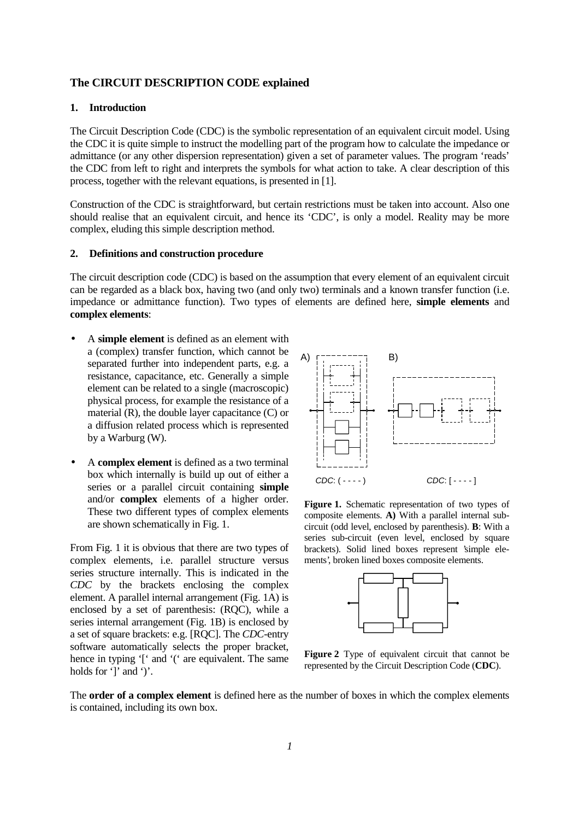# **The CIRCUIT DESCRIPTION CODE explained**

## **1. Introduction**

The Circuit Description Code (CDC) is the symbolic representation of an equivalent circuit model. Using the CDC it is quite simple to instruct the modelling part of the program how to calculate the impedance or admittance (or any other dispersion representation) given a set of parameter values. The program 'reads' the CDC from left to right and interprets the symbols for what action to take. A clear description of this process, together with the relevant equations, is presented in [1].

Construction of the CDC is straightforward, but certain restrictions must be taken into account. Also one should realise that an equivalent circuit, and hence its 'CDC', is only a model. Reality may be more complex, eluding this simple description method.

## **2. Definitions and construction procedure**

The circuit description code (CDC) is based on the assumption that every element of an equivalent circuit can be regarded as a black box, having two (and only two) terminals and a known transfer function (i.e. impedance or admittance function). Two types of elements are defined here, **simple elements** and **complex elements**:

- A **simple element** is defined as an element with a (complex) transfer function, which cannot be separated further into independent parts, e.g. a resistance, capacitance, etc. Generally a simple element can be related to a single (macroscopic) physical process, for example the resistance of a material (R), the double layer capacitance (C) or a diffusion related process which is represented by a Warburg (W).
- A **complex element** is defined as a two terminal box which internally is build up out of either a series or a parallel circuit containing **simple** and/or **complex** elements of a higher order. These two different types of complex elements are shown schematically in Fig. 1.

From Fig. 1 it is obvious that there are two types of complex elements, i.e. parallel structure versus series structure internally. This is indicated in the *CDC* by the brackets enclosing the complex element. A parallel internal arrangement (Fig. 1A) is enclosed by a set of parenthesis: (RQC), while a series internal arrangement (Fig. 1B) is enclosed by a set of square brackets: e.g. [RQC]. The *CDC*-entry software automatically selects the proper bracket, hence in typing '[' and '(' are equivalent. The same holds for ']' and ')'.



**Figure 1.** Schematic representation of two types of composite elements. **A)** With a parallel internal subcircuit (odd level, enclosed by parenthesis). **B**: With a series sub-circuit (even level, enclosed by square brackets). Solid lined boxes represent 'simple elements', broken lined boxes composite elements.



**Figure 2** Type of equivalent circuit that cannot be represented by the Circuit Description Code (**CDC**).

The **order of a complex element** is defined here as the number of boxes in which the complex elements is contained, including its own box.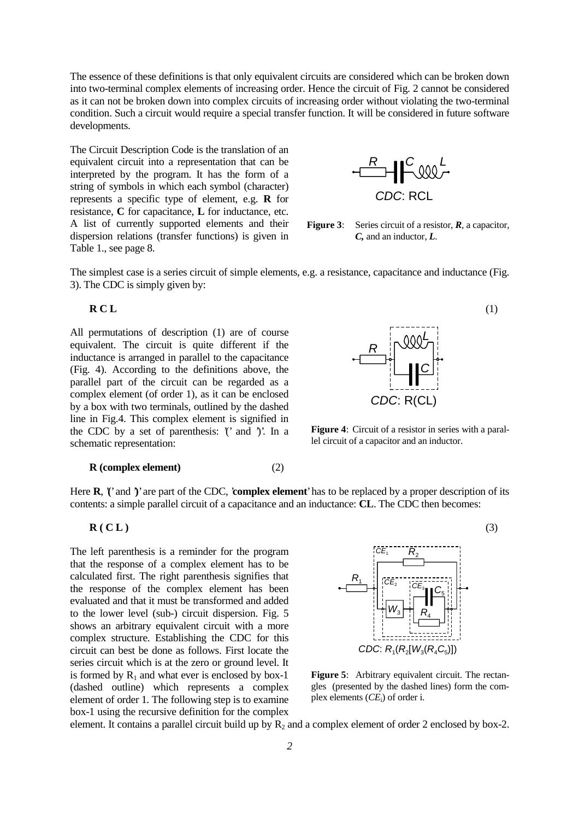The essence of these definitions is that only equivalent circuits are considered which can be broken down into two-terminal complex elements of increasing order. Hence the circuit of Fig. 2 cannot be considered as it can not be broken down into complex circuits of increasing order without violating the two-terminal condition. Such a circuit would require a special transfer function. It will be considered in future software developments.

The Circuit Description Code is the translation of an equivalent circuit into a representation that can be interpreted by the program. It has the form of a string of symbols in which each symbol (character) represents a specific type of element, e.g. **R** for resistance, **C** for capacitance, **L** for inductance, etc. A list of currently supported elements and their dispersion relations (transfer functions) is given in Table 1., see page 8.



**Figure 3**: Series circuit of a resistor, *R*, a capacitor, *C,* and an inductor, *L*.

The simplest case is a series circuit of simple elements, e.g. a resistance, capacitance and inductance (Fig. 3). The CDC is simply given by:

All permutations of description (1) are of course equivalent. The circuit is quite different if the inductance is arranged in parallel to the capacitance (Fig. 4). According to the definitions above, the parallel part of the circuit can be regarded as a complex element (of order 1), as it can be enclosed by a box with two terminals, outlined by the dashed line in Fig.4. This complex element is signified in the CDC by a set of parenthesis:  $\hat{ }$  and  $\hat{ }$  ). In a schematic representation:

#### **R (complex element)** (2)



**Figure 4**: Circuit of a resistor in series with a parallel circuit of a capacitor and an inductor.

Here **R**, '**(**' and '**)**' are part of the CDC, '**complex element**' has to be replaced by a proper description of its contents: a simple parallel circuit of a capacitance and an inductance: **CL**. The CDC then becomes:

## **R** ( **C** L )  $(3)$

The left parenthesis is a reminder for the program that the response of a complex element has to be calculated first. The right parenthesis signifies that the response of the complex element has been evaluated and that it must be transformed and added to the lower level (sub-) circuit dispersion. Fig. 5 shows an arbitrary equivalent circuit with a more complex structure. Establishing the CDC for this circuit can best be done as follows. First locate the series circuit which is at the zero or ground level. It is formed by  $R_1$  and what ever is enclosed by box-1 (dashed outline) which represents a complex element of order 1. The following step is to examine box-1 using the recursive definition for the complex



**Figure 5**: Arbitrary equivalent circuit. The rectangles (presented by the dashed lines) form the complex elements (*CE*i) of order i.

element. It contains a parallel circuit build up by  $R_2$  and a complex element of order 2 enclosed by box-2.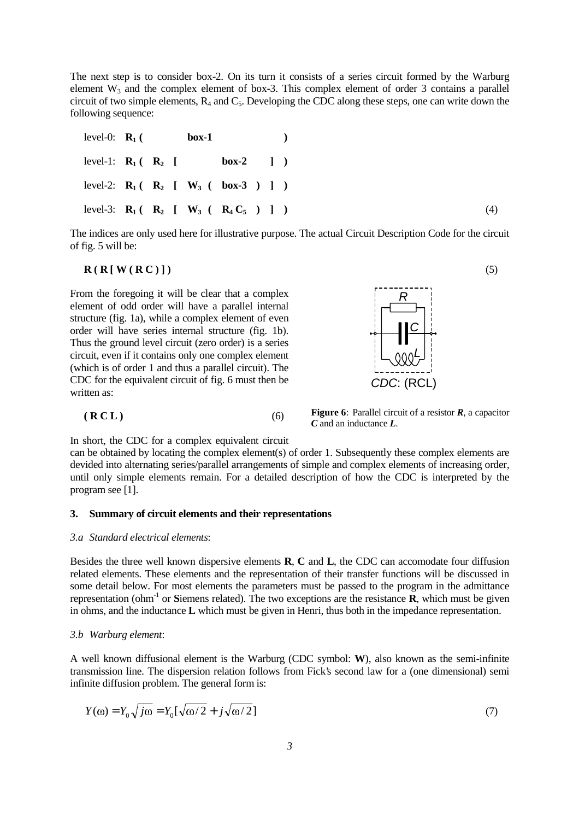The next step is to consider box-2. On its turn it consists of a series circuit formed by the Warburg element  $W_3$  and the complex element of box-3. This complex element of order 3 contains a parallel circuit of two simple elements,  $R_4$  and  $C_5$ . Developing the CDC along these steps, one can write down the following sequence:

level-0:  $R_1$  ( box-1 ) level-1:  $R_1 ( R_2 [$  box-2 ]  $)$ level-2:  $R_1 ( R_2 [ W_3 ( box-3 ) ] )$ level-3: **R<sub>1</sub>** (**R<sub>2</sub>** [ **W<sub>3</sub>** (**R<sub>4</sub>** C<sub>5</sub>) ] ) (4)

The indices are only used here for illustrative purpose. The actual Circuit Description Code for the circuit of fig. 5 will be:

#### $\mathbf{R}(\mathbf{R}[\mathbf{W}(\mathbf{R}\mathbf{C})])$  (5)

From the foregoing it will be clear that a complex element of odd order will have a parallel internal structure (fig. 1a), while a complex element of even order will have series internal structure (fig. 1b). Thus the ground level circuit (zero order) is a series circuit, even if it contains only one complex element (which is of order 1 and thus a parallel circuit). The CDC for the equivalent circuit of fig. 6 must then be written as:



**Figure 6**: Parallel circuit of a resistor *R*, a capacitor *C* and an inductance *L*.

In short, the CDC for a complex equivalent circuit

 **( R C L )** (6)

can be obtained by locating the complex element(s) of order 1. Subsequently these complex elements are devided into alternating series/parallel arrangements of simple and complex elements of increasing order, until only simple elements remain. For a detailed description of how the CDC is interpreted by the program see [1].

## **3. Summary of circuit elements and their representations**

#### *3.a Standard electrical elements*:

Besides the three well known dispersive elements **R**, **C** and **L**, the CDC can accomodate four diffusion related elements. These elements and the representation of their transfer functions will be discussed in some detail below. For most elements the parameters must be passed to the program in the admittance representation (ohm<sup>-1</sup> or **S**iemens related). The two exceptions are the resistance **R**, which must be given in ohms, and the inductance **L** which must be given in Henri, thus both in the impedance representation.

#### *3.b Warburg element*:

A well known diffusional element is the Warburg (CDC symbol: **W**), also known as the semi-infinite transmission line. The dispersion relation follows from Fick's second law for a (one dimensional) semi infinite diffusion problem. The general form is:

$$
Y(\omega) = Y_0 \sqrt{j\omega} = Y_0 [\sqrt{\omega/2} + j\sqrt{\omega/2}]
$$
\n(7)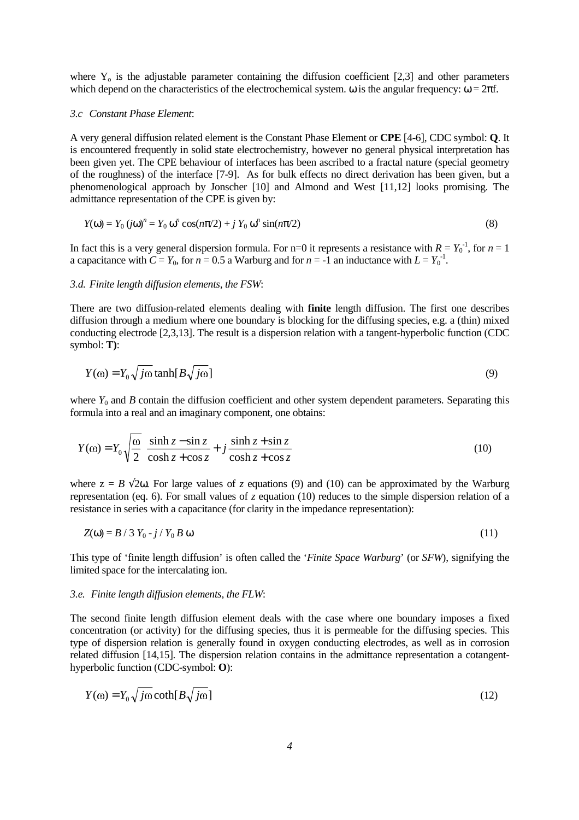where  $Y_0$  is the adjustable parameter containing the diffusion coefficient [2,3] and other parameters which depend on the characteristics of the electrochemical system.  $\omega$  is the angular frequency:  $\omega = 2\pi f$ .

## *3.c Constant Phase Element*:

A very general diffusion related element is the Constant Phase Element or **CPE** [4-6], CDC symbol: **Q**. It is encountered frequently in solid state electrochemistry, however no general physical interpretation has been given yet. The CPE behaviour of interfaces has been ascribed to a fractal nature (special geometry of the roughness) of the interface [7-9]. As for bulk effects no direct derivation has been given, but a phenomenological approach by Jonscher [10] and Almond and West [11,12] looks promising. The admittance representation of the CPE is given by:

$$
Y(\omega) = Y_0 (j\omega)^n = Y_0 \omega^n \cos(n\pi/2) + j Y_0 \omega^n \sin(n\pi/2)
$$
\n(8)

In fact this is a very general dispersion formula. For  $n=0$  it represents a resistance with  $R = Y_0^{-1}$ , for  $n=1$ a capacitance with  $C = Y_0$ , for  $n = 0.5$  a Warburg and for  $n = -1$  an inductance with  $L = Y_0^{-1}$ .

## *3.d. Finite length diffusion elements, the FSW*:

There are two diffusion-related elements dealing with **finite** length diffusion. The first one describes diffusion through a medium where one boundary is blocking for the diffusing species, e.g. a (thin) mixed conducting electrode [2,3,13]. The result is a dispersion relation with a tangent-hyperbolic function (CDC symbol: **T)**:

$$
Y(\omega) = Y_0 \sqrt{j\omega} \tanh[B \sqrt{j\omega}] \tag{9}
$$

where  $Y_0$  and  $B$  contain the diffusion coefficient and other system dependent parameters. Separating this formula into a real and an imaginary component, one obtains:

$$
Y(\omega) = Y_0 \sqrt{\frac{\omega}{2}} \left[ \frac{\sinh z - \sin z}{\cosh z + \cos z} + j \frac{\sinh z + \sin z}{\cosh z + \cos z} \right]
$$
(10)

where  $z = B \sqrt{2\omega}$ . For large values of *z* equations (9) and (10) can be approximated by the Warburg representation (eq. 6). For small values of *z* equation (10) reduces to the simple dispersion relation of a resistance in series with a capacitance (for clarity in the impedance representation):

$$
Z(\omega) = B / 3 Y_0 - j / Y_0 B \omega \tag{11}
$$

This type of 'finite length diffusion' is often called the '*Finite Space Warburg*' (or *SFW*), signifying the limited space for the intercalating ion.

#### *3.e. Finite length diffusion elements, the FLW*:

The second finite length diffusion element deals with the case where one boundary imposes a fixed concentration (or activity) for the diffusing species, thus it is permeable for the diffusing species. This type of dispersion relation is generally found in oxygen conducting electrodes, as well as in corrosion related diffusion [14,15]. The dispersion relation contains in the admittance representation a cotangenthyperbolic function (CDC-symbol: **O**):

$$
Y(\omega) = Y_0 \sqrt{j\omega} \coth[B \sqrt{j\omega}] \tag{12}
$$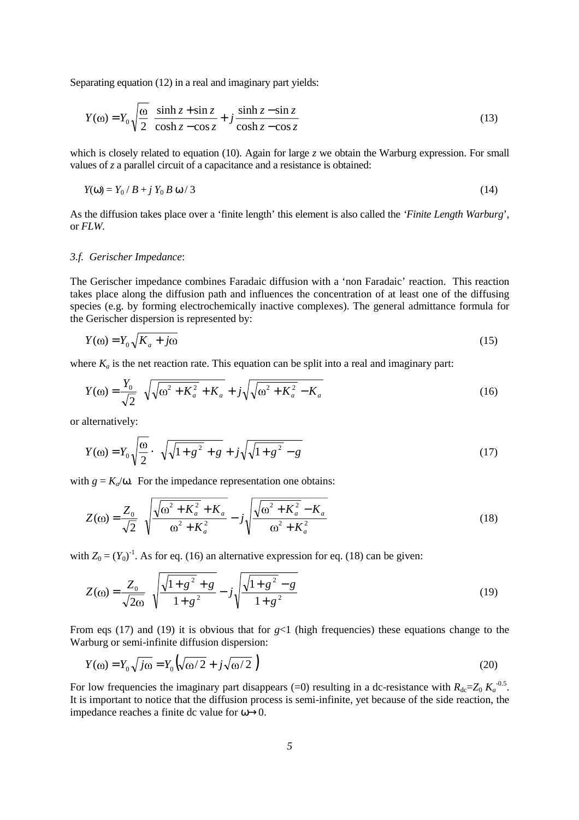Separating equation (12) in a real and imaginary part yields:

$$
Y(\omega) = Y_0 \sqrt{\frac{\omega}{2} \left[ \frac{\sinh z + \sin z}{\cosh z - \cos z} + j \frac{\sinh z - \sin z}{\cosh z - \cos z} \right]}
$$
(13)

which is closely related to equation (10). Again for large *z* we obtain the Warburg expression. For small values of *z* a parallel circuit of a capacitance and a resistance is obtained:

$$
Y(\omega) = Y_0 / B + j Y_0 B \omega / 3 \tag{14}
$$

As the diffusion takes place over a 'finite length' this element is also called the *'Finite Length Warburg*', or *FLW*.

## *3.f. Gerischer Impedance*:

The Gerischer impedance combines Faradaic diffusion with a 'non Faradaic' reaction. This reaction takes place along the diffusion path and influences the concentration of at least one of the diffusing species (e.g. by forming electrochemically inactive complexes). The general admittance formula for the Gerischer dispersion is represented by:

$$
Y(\omega) = Y_0 \sqrt{K_a + j\omega} \tag{15}
$$

where  $K_a$  is the net reaction rate. This equation can be split into a real and imaginary part:

$$
Y(\omega) = \frac{Y_0}{\sqrt{2}} \left( \sqrt{\omega^2 + K_a^2 + K_a} + j\sqrt{\omega^2 + K_a^2 - K_a} \right)
$$
 (16)

or alternatively:

$$
Y(\omega) = Y_0 \sqrt{\frac{\omega}{2}} \cdot \left( \sqrt{\sqrt{1 + g^2} + g} + j \sqrt{\sqrt{1 + g^2} - g} \right)
$$
 (17)

with  $g = K_a/\omega$ . For the impedance representation one obtains:

$$
Z(\omega) = \frac{Z_0}{\sqrt{2}} \left( \sqrt{\frac{\sqrt{\omega^2 + K_a^2} + K_a}{\omega^2 + K_a^2}} - j \sqrt{\frac{\sqrt{\omega^2 + K_a^2} - K_a}{\omega^2 + K_a^2}} \right)
$$
(18)

with  $Z_0 = (Y_0)^{-1}$ . As for eq. (16) an alternative expression for eq. (18) can be given:

$$
Z(\omega) = \frac{Z_0}{\sqrt{2\omega}} \left( \sqrt{\frac{\sqrt{1+g^2} + g}{1+g^2}} - j\sqrt{\frac{\sqrt{1+g^2} - g}{1+g^2}} \right)
$$
(19)

From eqs (17) and (19) it is obvious that for  $g<1$  (high frequencies) these equations change to the Warburg or semi-infinite diffusion dispersion:

$$
Y(\omega) = Y_0 \sqrt{j\omega} = Y_0 \left( \sqrt{\omega/2} + j\sqrt{\omega/2} \right)
$$
 (20)

For low frequencies the imaginary part disappears (=0) resulting in a dc-resistance with  $R_{dc} = Z_0 K_a^{-0.5}$ . It is important to notice that the diffusion process is semi-infinite, yet because of the side reaction, the impedance reaches a finite dc value for  $\omega \rightarrow 0$ .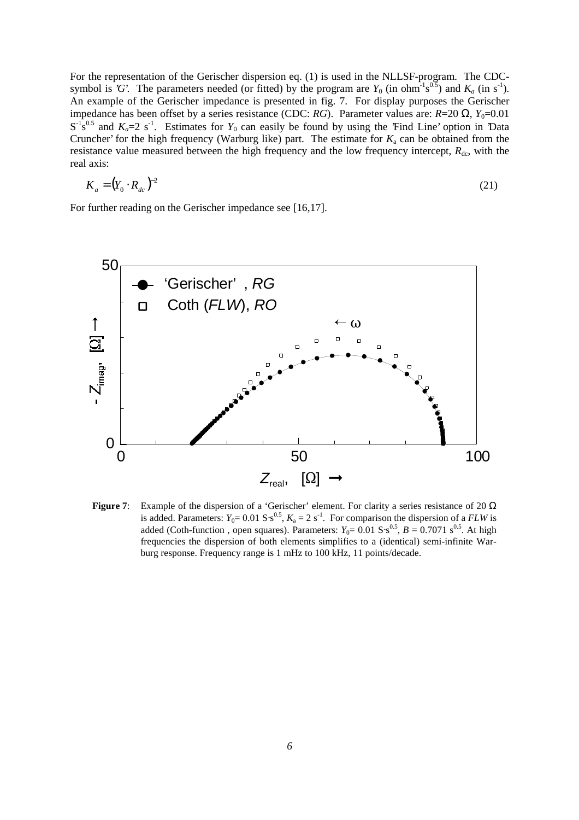For the representation of the Gerischer dispersion eq. (1) is used in the NLLSF-program. The CDCsymbol is *'G*'. The parameters needed (or fitted) by the program are  $Y_0$  (in ohm<sup>-1</sup>s<sup>0.5</sup>) and  $K_a$  (in s<sup>-1</sup>). An example of the Gerischer impedance is presented in fig. 7. For display purposes the Gerischer impedance has been offset by a series resistance (CDC: *RG*). Parameter values are: *R*=20 Ω, *Y*<sub>0</sub>=0.01  $S^{-1}S^{0.5}$  and  $K_a=2$  s<sup>-1</sup>. Estimates for  $Y_0$  can easily be found by using the 'Find Line' option in 'Data Cruncher' for the high frequency (Warburg like) part. The estimate for  $K_a$  can be obtained from the resistance value measured between the high frequency and the low frequency intercept,  $R_{dc}$ , with the real axis:

$$
K_a = (Y_0 \cdot R_{dc})^{-2} \tag{21}
$$

For further reading on the Gerischer impedance see [16,17].



**Figure 7**: Example of the dispersion of a 'Gerischer' element. For clarity a series resistance of 20 Ω is added. Parameters:  $Y_0 = 0.01 \text{ S} \cdot \text{s}^{0.5}$ ,  $K_a = 2 \text{ s}^{-1}$ . For comparison the dispersion of a *FLW* is added (Coth-function, open squares). Parameters:  $Y_0 = 0.01 S·s^{0.5}$ ,  $B = 0.7071 s^{0.5}$ . At high frequencies the dispersion of both elements simplifies to a (identical) semi-infinite Warburg response. Frequency range is 1 mHz to 100 kHz, 11 points/decade.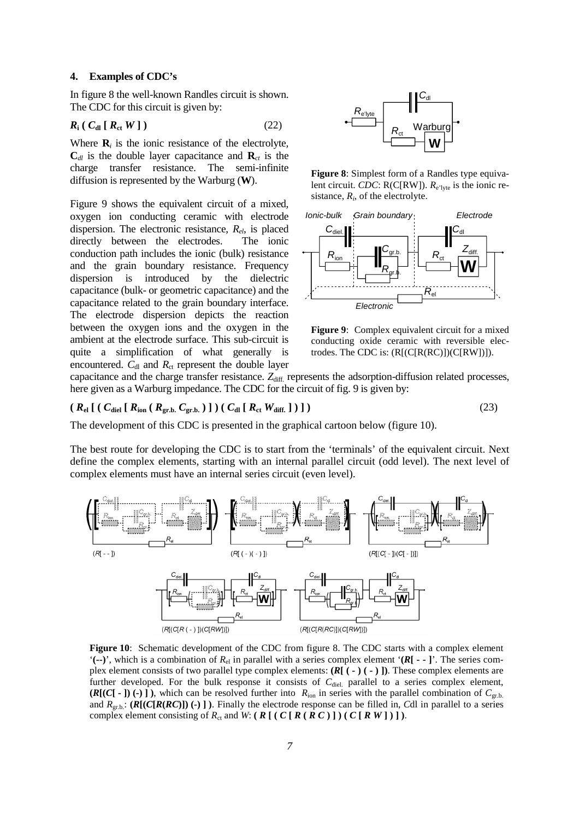## **4. Examples of CDC's**

In figure 8 the well-known Randles circuit is shown. The CDC for this circuit is given by:

$$
R_{\rm i} \left( \, C_{\rm dl} \left[ \, R_{\rm ct} \, W \, \right] \, \right) \tag{22}
$$

Where  $\mathbf{R}_i$  is the ionic resistance of the electrolyte,  $C_{d\ell}$  is the double layer capacitance and  $\mathbf{R}_{c\ell}$  is the charge transfer resistance. The semi-infinite diffusion is represented by the Warburg (**W**).

Figure 9 shows the equivalent circuit of a mixed, oxygen ion conducting ceramic with electrode dispersion. The electronic resistance, *Rel*, is placed directly between the electrodes. The ionic conduction path includes the ionic (bulk) resistance and the grain boundary resistance. Frequency dispersion is introduced by the dielectric capacitance (bulk- or geometric capacitance) and the capacitance related to the grain boundary interface. The electrode dispersion depicts the reaction between the oxygen ions and the oxygen in the ambient at the electrode surface. This sub-circuit is quite a simplification of what generally is encountered.  $C_{\rm dl}$  and  $R_{\rm ct}$  represent the double layer



**Figure 8**: Simplest form of a Randles type equivalent circuit. *CDC*: R(C[RW]).  $R_{e'|yte}$  is the ionic resistance,  $R_i$ , of the electrolyte.



**Figure 9**: Complex equivalent circuit for a mixed conducting oxide ceramic with reversible electrodes. The CDC is: (R[(C[R(RC)])(C[RW])]).

capacitance and the charge transfer resistance. Z<sub>diff.</sub> represents the adsorption-diffusion related processes, here given as a Warburg impedance. The CDC for the circuit of fig. 9 is given by:

# $(R_{el} [ (C_{diel} [ R_{ion} ( R_{gr.b.} C_{gr.b.} ) ] ) (C_{dl} [ R_{ct} W_{diff.} ] ) ]$  (23)

The development of this CDC is presented in the graphical cartoon below (figure 10).

The best route for developing the CDC is to start from the 'terminals' of the equivalent circuit. Next define the complex elements, starting with an internal parallel circuit (odd level). The next level of complex elements must have an internal series circuit (even level).



**Figure 10**: Schematic development of the CDC from figure 8. The CDC starts with a complex element  $^{\circ}$ (--)', which is a combination of  $R_{el}$  in parallel with a series complex element  $^{\circ}$ (*R*<sub>[</sub> - - ]'. The series complex element consists of two parallel type complex elements: **(***R***[ ( - ) ( - ) ])**. These complex elements are further developed. For the bulk response it consists of C<sub>diel.</sub> parallel to a series complex element,  $(R[(C[-1])(-)]$ , which can be resolved further into  $R_{\text{ion}}$  in series with the parallel combination of  $C_{\text{gr.b.}}$ and  $R_{gr.b.}$ :  $(R[(C[R(RC)]) \cdot )]$ . Finally the electrode response can be filled in, *C*dl in parallel to a series complex element consisting of  $R_{\text{ct}}$  and  $W: (\mathbf{R}[(\mathbf{C}[\mathbf{R}(\mathbf{R}\mathbf{C})])(\mathbf{C}[\mathbf{R}\mathbf{W}])$ .